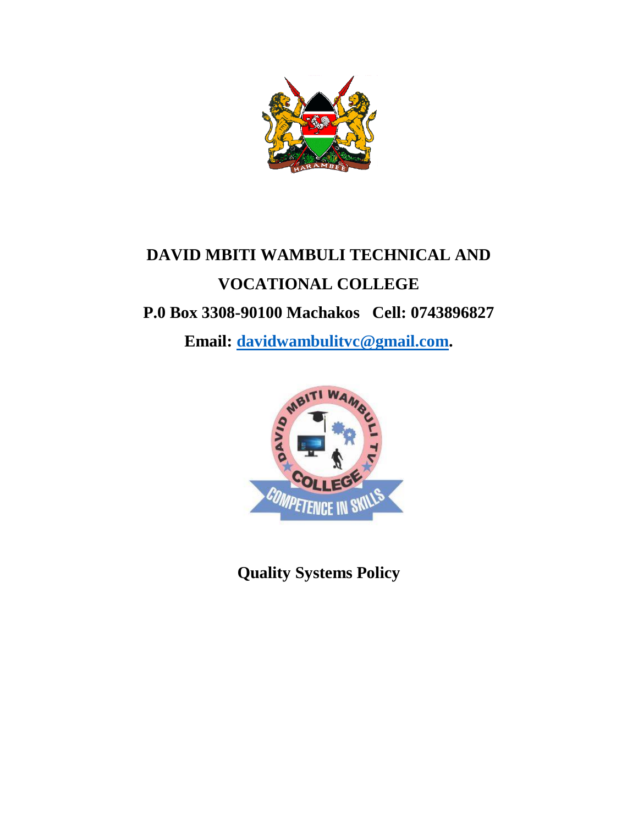

# **DAVID MBITI WAMBULI TECHNICAL AND VOCATIONAL COLLEGE P.0 Box 3308-90100 Machakos Cell: 0743896827**

**Email: [davidwambulitvc@gmail.com.](mailto:davidwambulitvc@gmail.com)**



**Quality Systems Policy**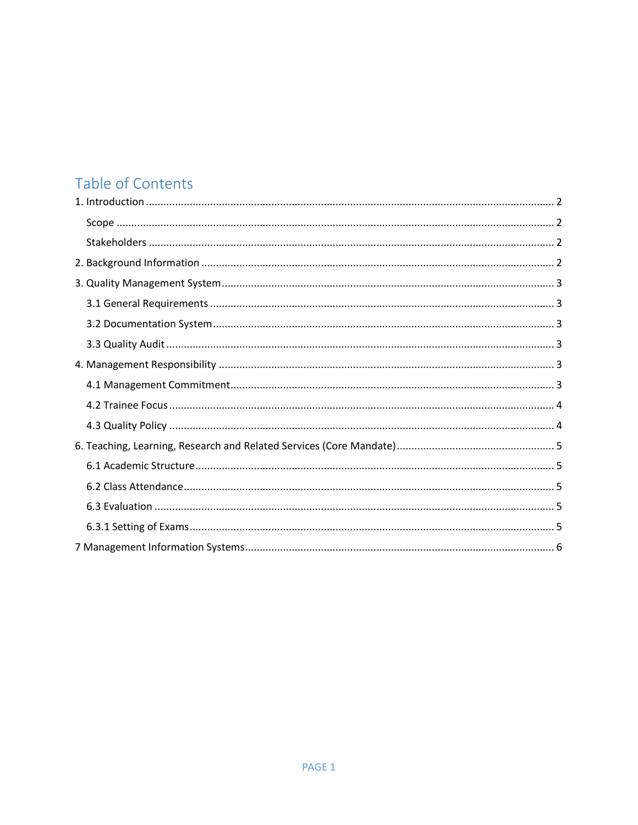# Table of Contents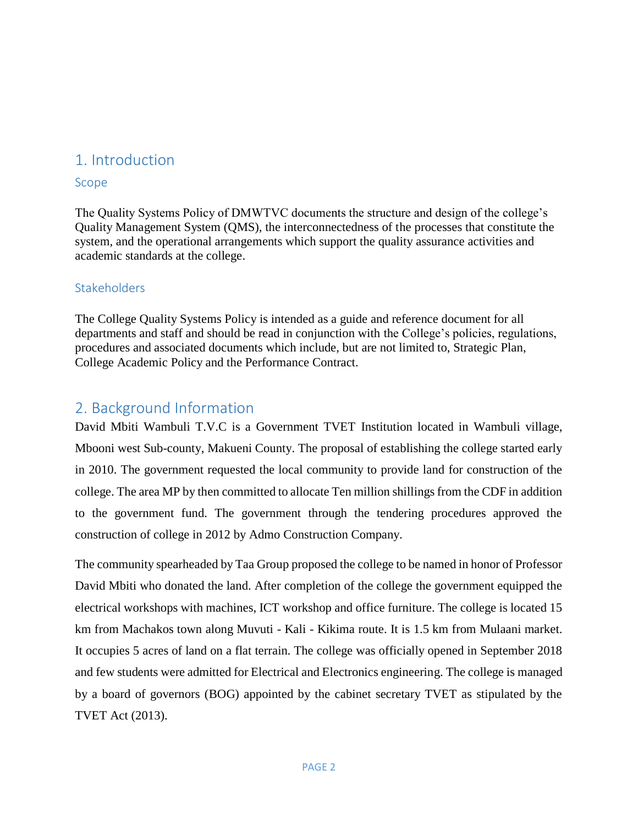## <span id="page-2-0"></span>1. Introduction

#### <span id="page-2-1"></span>Scope

The Quality Systems Policy of DMWTVC documents the structure and design of the college's Quality Management System (QMS), the interconnectedness of the processes that constitute the system, and the operational arrangements which support the quality assurance activities and academic standards at the college.

#### <span id="page-2-2"></span>**Stakeholders**

The College Quality Systems Policy is intended as a guide and reference document for all departments and staff and should be read in conjunction with the College's policies, regulations, procedures and associated documents which include, but are not limited to, Strategic Plan, College Academic Policy and the Performance Contract.

## <span id="page-2-3"></span>2. Background Information

David Mbiti Wambuli T.V.C is a Government TVET Institution located in Wambuli village, Mbooni west Sub-county, Makueni County. The proposal of establishing the college started early in 2010. The government requested the local community to provide land for construction of the college. The area MP by then committed to allocate Ten million shillings from the CDF in addition to the government fund. The government through the tendering procedures approved the construction of college in 2012 by Admo Construction Company.

The community spearheaded by Taa Group proposed the college to be named in honor of Professor David Mbiti who donated the land. After completion of the college the government equipped the electrical workshops with machines, ICT workshop and office furniture. The college is located 15 km from Machakos town along Muvuti - Kali - Kikima route. It is 1.5 km from Mulaani market. It occupies 5 acres of land on a flat terrain. The college was officially opened in September 2018 and few students were admitted for Electrical and Electronics engineering. The college is managed by a board of governors (BOG) appointed by the cabinet secretary TVET as stipulated by the TVET Act (2013).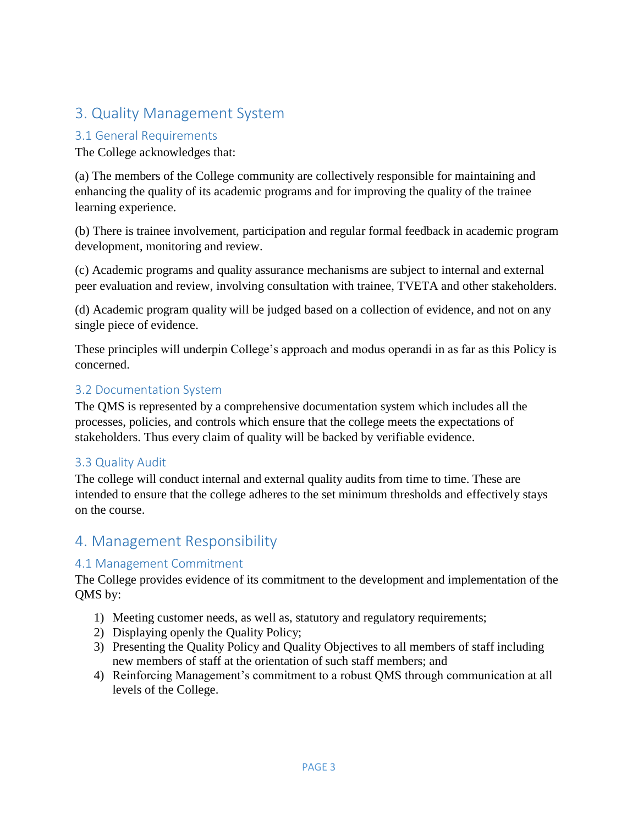# <span id="page-3-0"></span>3. Quality Management System

#### <span id="page-3-1"></span>3.1 General Requirements

The College acknowledges that:

(a) The members of the College community are collectively responsible for maintaining and enhancing the quality of its academic programs and for improving the quality of the trainee learning experience.

(b) There is trainee involvement, participation and regular formal feedback in academic program development, monitoring and review.

(c) Academic programs and quality assurance mechanisms are subject to internal and external peer evaluation and review, involving consultation with trainee, TVETA and other stakeholders.

(d) Academic program quality will be judged based on a collection of evidence, and not on any single piece of evidence.

These principles will underpin College's approach and modus operandi in as far as this Policy is concerned.

#### <span id="page-3-2"></span>3.2 Documentation System

The QMS is represented by a comprehensive documentation system which includes all the processes, policies, and controls which ensure that the college meets the expectations of stakeholders. Thus every claim of quality will be backed by verifiable evidence.

#### <span id="page-3-3"></span>3.3 Quality Audit

The college will conduct internal and external quality audits from time to time. These are intended to ensure that the college adheres to the set minimum thresholds and effectively stays on the course.

## <span id="page-3-4"></span>4. Management Responsibility

#### <span id="page-3-5"></span>4.1 Management Commitment

The College provides evidence of its commitment to the development and implementation of the QMS by:

- 1) Meeting customer needs, as well as, statutory and regulatory requirements;
- 2) Displaying openly the Quality Policy;
- 3) Presenting the Quality Policy and Quality Objectives to all members of staff including new members of staff at the orientation of such staff members; and
- 4) Reinforcing Management's commitment to a robust QMS through communication at all levels of the College.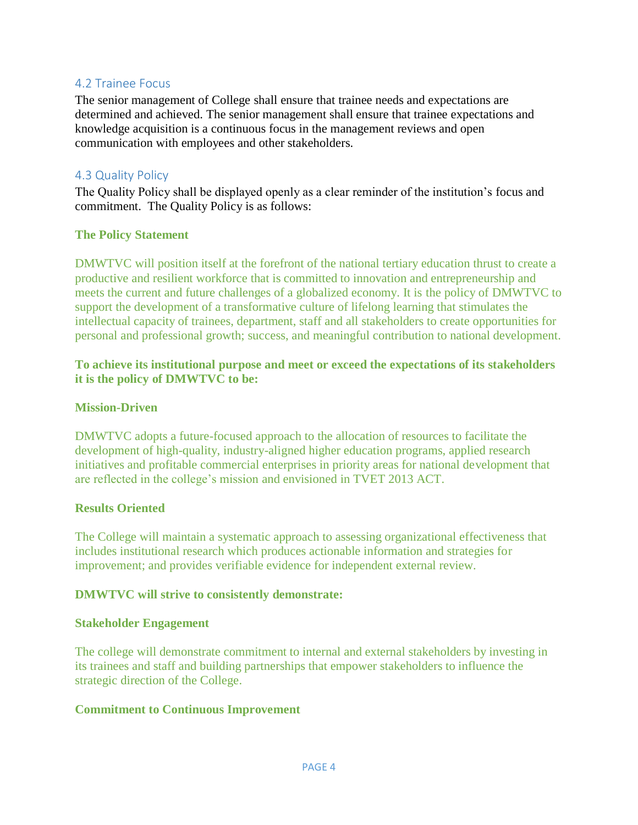#### <span id="page-4-0"></span>4.2 Trainee Focus

The senior management of College shall ensure that trainee needs and expectations are determined and achieved. The senior management shall ensure that trainee expectations and knowledge acquisition is a continuous focus in the management reviews and open communication with employees and other stakeholders.

#### <span id="page-4-1"></span>4.3 Quality Policy

The Quality Policy shall be displayed openly as a clear reminder of the institution's focus and commitment. The Quality Policy is as follows:

#### **The Policy Statement**

DMWTVC will position itself at the forefront of the national tertiary education thrust to create a productive and resilient workforce that is committed to innovation and entrepreneurship and meets the current and future challenges of a globalized economy. It is the policy of DMWTVC to support the development of a transformative culture of lifelong learning that stimulates the intellectual capacity of trainees, department, staff and all stakeholders to create opportunities for personal and professional growth; success, and meaningful contribution to national development.

#### **To achieve its institutional purpose and meet or exceed the expectations of its stakeholders it is the policy of DMWTVC to be:**

#### **Mission-Driven**

DMWTVC adopts a future-focused approach to the allocation of resources to facilitate the development of high-quality, industry-aligned higher education programs, applied research initiatives and profitable commercial enterprises in priority areas for national development that are reflected in the college's mission and envisioned in TVET 2013 ACT.

#### **Results Oriented**

The College will maintain a systematic approach to assessing organizational effectiveness that includes institutional research which produces actionable information and strategies for improvement; and provides verifiable evidence for independent external review.

#### **DMWTVC will strive to consistently demonstrate:**

#### **Stakeholder Engagement**

The college will demonstrate commitment to internal and external stakeholders by investing in its trainees and staff and building partnerships that empower stakeholders to influence the strategic direction of the College.

#### **Commitment to Continuous Improvement**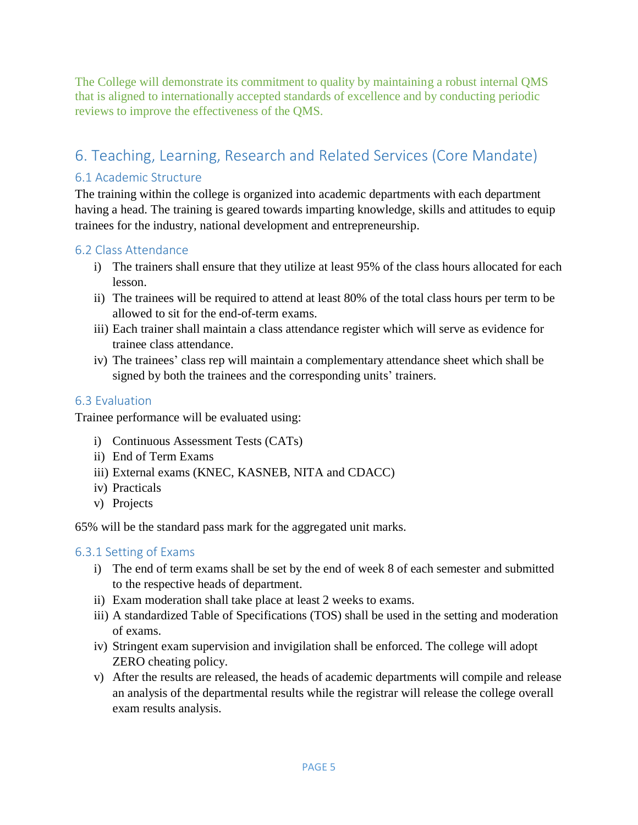The College will demonstrate its commitment to quality by maintaining a robust internal QMS that is aligned to internationally accepted standards of excellence and by conducting periodic reviews to improve the effectiveness of the QMS.

# <span id="page-5-0"></span>6. Teaching, Learning, Research and Related Services (Core Mandate)

### <span id="page-5-1"></span>6.1 Academic Structure

The training within the college is organized into academic departments with each department having a head. The training is geared towards imparting knowledge, skills and attitudes to equip trainees for the industry, national development and entrepreneurship.

#### <span id="page-5-2"></span>6.2 Class Attendance

- i) The trainers shall ensure that they utilize at least 95% of the class hours allocated for each lesson.
- ii) The trainees will be required to attend at least 80% of the total class hours per term to be allowed to sit for the end-of-term exams.
- iii) Each trainer shall maintain a class attendance register which will serve as evidence for trainee class attendance.
- iv) The trainees' class rep will maintain a complementary attendance sheet which shall be signed by both the trainees and the corresponding units' trainers.

#### <span id="page-5-3"></span>6.3 Evaluation

Trainee performance will be evaluated using:

- i) Continuous Assessment Tests (CATs)
- ii) End of Term Exams
- iii) External exams (KNEC, KASNEB, NITA and CDACC)
- iv) Practicals
- v) Projects

65% will be the standard pass mark for the aggregated unit marks.

#### <span id="page-5-4"></span>6.3.1 Setting of Exams

- i) The end of term exams shall be set by the end of week 8 of each semester and submitted to the respective heads of department.
- ii) Exam moderation shall take place at least 2 weeks to exams.
- iii) A standardized Table of Specifications (TOS) shall be used in the setting and moderation of exams.
- iv) Stringent exam supervision and invigilation shall be enforced. The college will adopt ZERO cheating policy.
- v) After the results are released, the heads of academic departments will compile and release an analysis of the departmental results while the registrar will release the college overall exam results analysis.